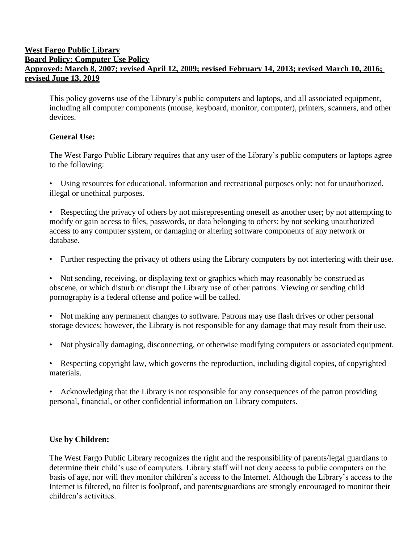## **West Fargo Public Library Board Policy: Computer Use Policy Approved: March 8, 2007; revised April 12, 2009; revised February 14, 2013; revised March 10, 2016; revised June 13, 2019**

This policy governs use of the Library's public computers and laptops, and all associated equipment, including all computer components (mouse, keyboard, monitor, computer), printers, scanners, and other devices.

## **General Use:**

The West Fargo Public Library requires that any user of the Library's public computers or laptops agree to the following:

• Using resources for educational, information and recreational purposes only: not for unauthorized, illegal or unethical purposes.

• Respecting the privacy of others by not misrepresenting oneself as another user; by not attempting to modify or gain access to files, passwords, or data belonging to others; by not seeking unauthorized access to any computer system, or damaging or altering software components of any network or database.

• Further respecting the privacy of others using the Library computers by not interfering with their use.

• Not sending, receiving, or displaying text or graphics which may reasonably be construed as obscene, or which disturb or disrupt the Library use of other patrons. Viewing or sending child pornography is a federal offense and police will be called.

• Not making any permanent changes to software. Patrons may use flash drives or other personal storage devices; however, the Library is not responsible for any damage that may result from their use.

• Not physically damaging, disconnecting, or otherwise modifying computers or associated equipment.

• Respecting copyright law, which governs the reproduction, including digital copies, of copyrighted materials.

• Acknowledging that the Library is not responsible for any consequences of the patron providing personal, financial, or other confidential information on Library computers.

## **Use by Children:**

The West Fargo Public Library recognizes the right and the responsibility of parents/legal guardians to determine their child's use of computers. Library staff will not deny access to public computers on the basis of age, nor will they monitor children's access to the Internet. Although the Library's access to the Internet is filtered, no filter is foolproof, and parents/guardians are strongly encouraged to monitor their children's activities.